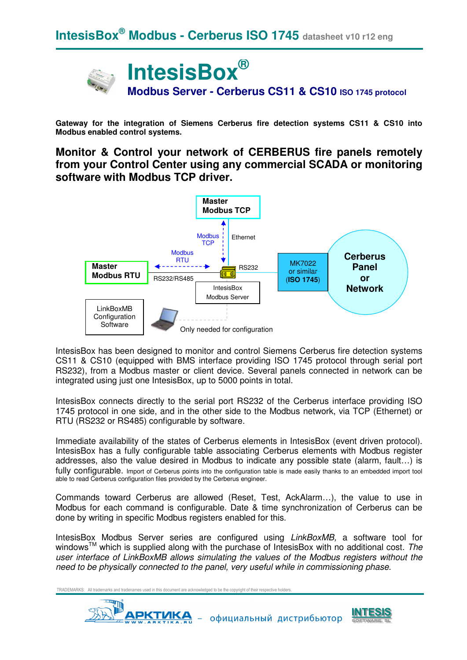

**Gateway for the integration of Siemens Cerberus fire detection systems CS11 & CS10 into Modbus enabled control systems.**

**Monitor & Control your network of CERBERUS fire panels remotely from your Control Center using any commercial SCADA or monitoring software with Modbus TCP driver.** 



IntesisBox has been designed to monitor and control Siemens Cerberus fire detection systems CS11 & CS10 (equipped with BMS interface providing ISO 1745 protocol through serial port RS232), from a Modbus master or client device. Several panels connected in network can be integrated using just one IntesisBox, up to 5000 points in total.

IntesisBox connects directly to the serial port RS232 of the Cerberus interface providing ISO 1745 protocol in one side, and in the other side to the Modbus network, via TCP (Ethernet) or RTU (RS232 or RS485) configurable by software.

Immediate availability of the states of Cerberus elements in IntesisBox (event driven protocol). IntesisBox has a fully configurable table associating Cerberus elements with Modbus register addresses, also the value desired in Modbus to indicate any possible state (alarm, fault…) is fully configurable. Import of Cerberus points into the configuration table is made easily thanks to an embedded import tool able to read Cerberus configuration files provided by the Cerberus engineer.

Commands toward Cerberus are allowed (Reset, Test, AckAlarm…), the value to use in Modbus for each command is configurable. Date & time synchronization of Cerberus can be done by writing in specific Modbus registers enabled for this.

IntesisBox Modbus Server series are configured using LinkBoxMB, a software tool for windows<sup>TM</sup> which is supplied along with the purchase of IntesisBox with no additional cost. The user interface of LinkBoxMB allows simulating the values of the Modbus registers without the need to be physically connected to the panel, very useful while in commissioning phase.



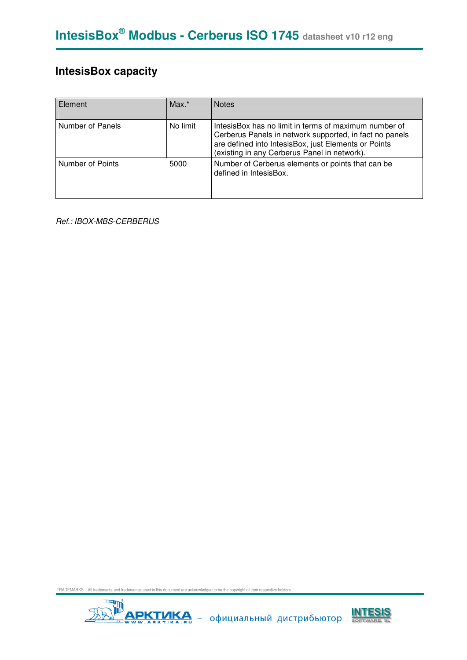## **IntesisBox capacity**

| Element          | $Max.*$  | <b>Notes</b>                                                                                                                                                                                                             |
|------------------|----------|--------------------------------------------------------------------------------------------------------------------------------------------------------------------------------------------------------------------------|
| Number of Panels | No limit | IntesisBox has no limit in terms of maximum number of<br>Cerberus Panels in network supported, in fact no panels<br>are defined into IntesisBox, just Elements or Points<br>(existing in any Cerberus Panel in network). |
| Number of Points | 5000     | Number of Cerberus elements or points that can be<br>defined in IntesisBox.                                                                                                                                              |

Ref.: IBOX-MBS-CERBERUS



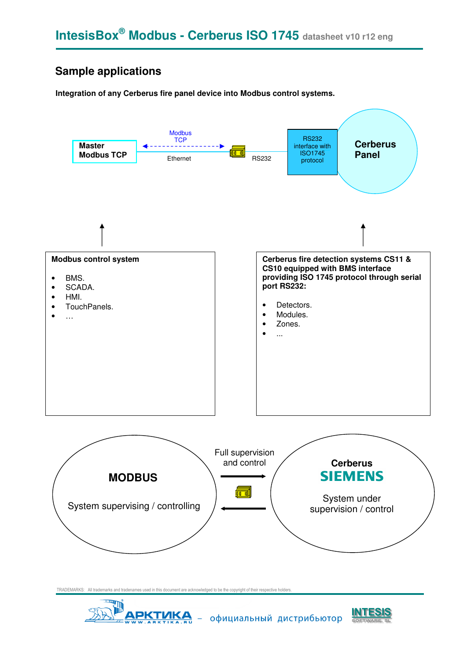## **Sample applications**

#### **Integration of any Cerberus fire panel device into Modbus control systems.**





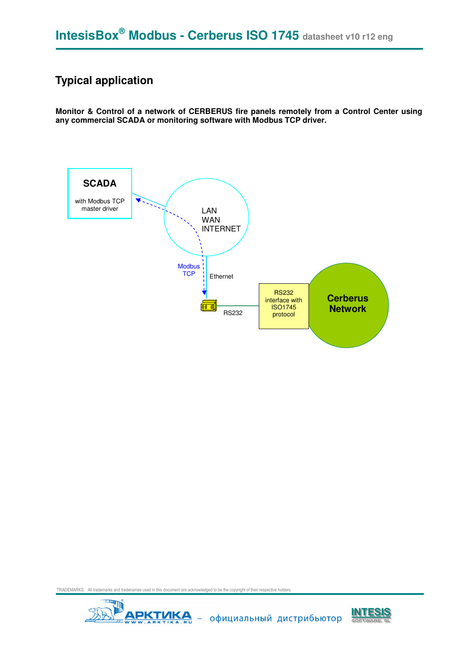## **Typical application**

**Monitor & Control of a network of CERBERUS fire panels remotely from a Control Center using any commercial SCADA or monitoring software with Modbus TCP driver.** 





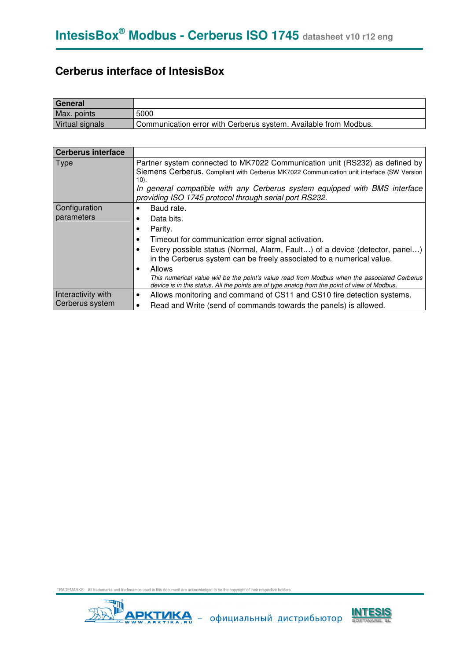## **Cerberus interface of IntesisBox**

| General         |                                                                  |
|-----------------|------------------------------------------------------------------|
| Max. points     | 5000                                                             |
| Virtual signals | Communication error with Cerberus system. Available from Modbus. |

| <b>Cerberus interface</b>             |                                                                                                                                                                                                                                                                                                                                                                                                                                                                    |
|---------------------------------------|--------------------------------------------------------------------------------------------------------------------------------------------------------------------------------------------------------------------------------------------------------------------------------------------------------------------------------------------------------------------------------------------------------------------------------------------------------------------|
| <b>Type</b>                           | Partner system connected to MK7022 Communication unit (RS232) as defined by<br>Siemens Cerberus. Compliant with Cerberus MK7022 Communication unit interface (SW Version<br>10).<br>In general compatible with any Cerberus system equipped with BMS interface<br>providing ISO 1745 protocol through serial port RS232.                                                                                                                                           |
| Configuration<br>parameters           | Baud rate.<br>Data bits.<br>Parity.<br>Timeout for communication error signal activation.<br>Every possible status (Normal, Alarm, Fault) of a device (detector, panel)<br>in the Cerberus system can be freely associated to a numerical value.<br><b>Allows</b><br>This numerical value will be the point's value read from Modbus when the associated Cerberus<br>device is in this status. All the points are of type analog from the point of view of Modbus. |
| Interactivity with<br>Cerberus system | Allows monitoring and command of CS11 and CS10 fire detection systems.<br>Read and Write (send of commands towards the panels) is allowed.                                                                                                                                                                                                                                                                                                                         |



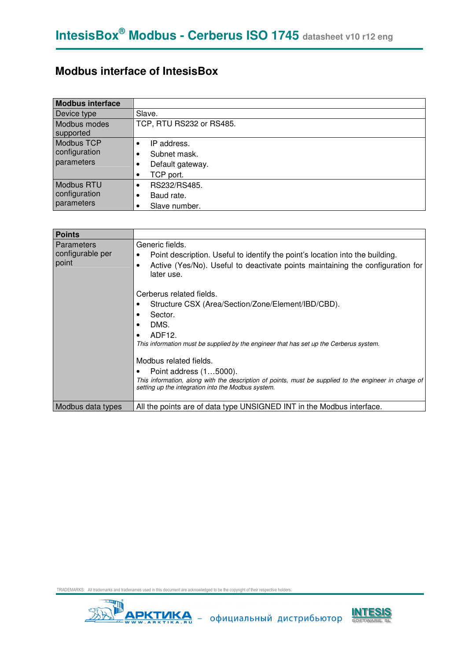#### **Modbus interface of IntesisBox**

| <b>Modbus interface</b>                          |                                                              |
|--------------------------------------------------|--------------------------------------------------------------|
| Device type                                      | Slave.                                                       |
| Modbus modes<br>supported                        | TCP, RTU RS232 or RS485.                                     |
| Modbus TCP<br>configuration<br>parameters        | IP address.<br>Subnet mask.<br>Default gateway.<br>TCP port. |
| <b>Modbus RTU</b><br>configuration<br>parameters | RS232/RS485.<br>Baud rate.<br>٠<br>Slave number.             |

| <b>Points</b>                                  |                                                                                                                                                                                                                                                                                                                                                                                                                                                                                                                                                                                   |
|------------------------------------------------|-----------------------------------------------------------------------------------------------------------------------------------------------------------------------------------------------------------------------------------------------------------------------------------------------------------------------------------------------------------------------------------------------------------------------------------------------------------------------------------------------------------------------------------------------------------------------------------|
| <b>Parameters</b><br>configurable per<br>point | Generic fields.<br>Point description. Useful to identify the point's location into the building.<br>Active (Yes/No). Useful to deactivate points maintaining the configuration for<br>later use.<br>Cerberus related fields.<br>Structure CSX (Area/Section/Zone/Element/IBD/CBD).<br>Sector.<br>DMS.<br>ADF <sub>12</sub><br>This information must be supplied by the engineer that has set up the Cerberus system.<br>Modbus related fields.<br>Point address (15000).<br>This information, along with the description of points, must be supplied to the engineer in charge of |
| Modbus data types                              | setting up the integration into the Modbus system.<br>All the points are of data type UNSIGNED INT in the Modbus interface.                                                                                                                                                                                                                                                                                                                                                                                                                                                       |
|                                                |                                                                                                                                                                                                                                                                                                                                                                                                                                                                                                                                                                                   |



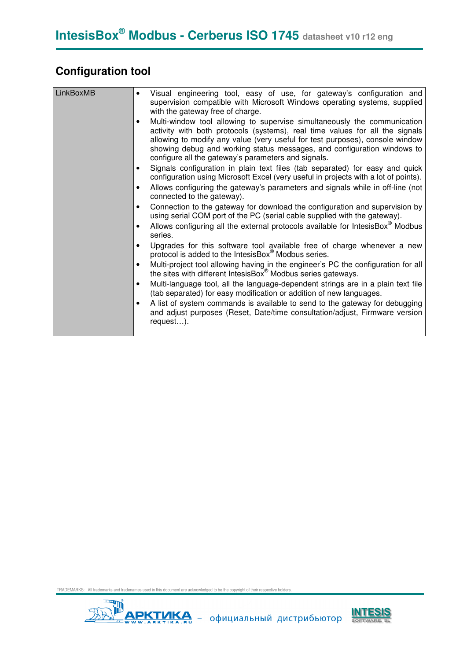## **Configuration tool**

| <b>LinkBoxMB</b> | Visual engineering tool, easy of use, for gateway's configuration and<br>$\bullet$<br>supervision compatible with Microsoft Windows operating systems, supplied<br>with the gateway free of charge.<br>Multi-window tool allowing to supervise simultaneously the communication<br>$\bullet$<br>activity with both protocols (systems), real time values for all the signals<br>allowing to modify any value (very useful for test purposes), console window<br>showing debug and working status messages, and configuration windows to<br>configure all the gateway's parameters and signals.<br>Signals configuration in plain text files (tab separated) for easy and quick<br>configuration using Microsoft Excel (very useful in projects with a lot of points).<br>Allows configuring the gateway's parameters and signals while in off-line (not<br>connected to the gateway).<br>Connection to the gateway for download the configuration and supervision by<br>using serial COM port of the PC (serial cable supplied with the gateway).<br>Allows configuring all the external protocols available for IntesisBox <sup>®</sup> Modbus<br>series.<br>Upgrades for this software tool available free of charge whenever a new<br>protocol is added to the IntesisBox® Modbus series.<br>Multi-project tool allowing having in the engineer's PC the configuration for all<br>the sites with different IntesisBox <sup>®</sup> Modbus series gateways.<br>Multi-language tool, all the language-dependent strings are in a plain text file<br>$\bullet$<br>(tab separated) for easy modification or addition of new languages.<br>A list of system commands is available to send to the gateway for debugging<br>and adjust purposes (Reset, Date/time consultation/adjust, Firmware version |
|------------------|-----------------------------------------------------------------------------------------------------------------------------------------------------------------------------------------------------------------------------------------------------------------------------------------------------------------------------------------------------------------------------------------------------------------------------------------------------------------------------------------------------------------------------------------------------------------------------------------------------------------------------------------------------------------------------------------------------------------------------------------------------------------------------------------------------------------------------------------------------------------------------------------------------------------------------------------------------------------------------------------------------------------------------------------------------------------------------------------------------------------------------------------------------------------------------------------------------------------------------------------------------------------------------------------------------------------------------------------------------------------------------------------------------------------------------------------------------------------------------------------------------------------------------------------------------------------------------------------------------------------------------------------------------------------------------------------------------------------------------------------------------------------------------------------------------|
|                  | request).                                                                                                                                                                                                                                                                                                                                                                                                                                                                                                                                                                                                                                                                                                                                                                                                                                                                                                                                                                                                                                                                                                                                                                                                                                                                                                                                                                                                                                                                                                                                                                                                                                                                                                                                                                                           |



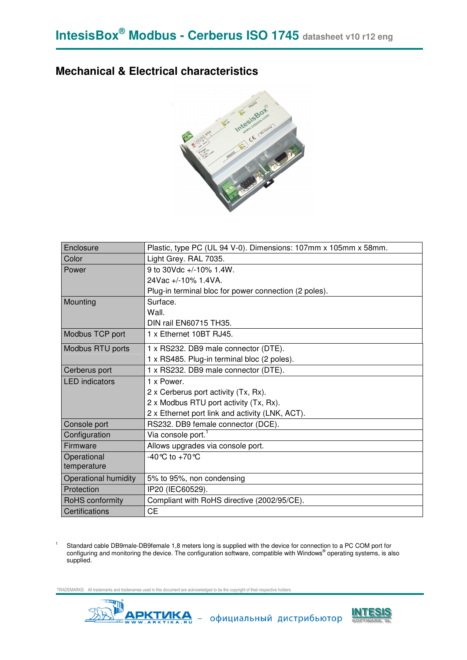#### **Mechanical & Electrical characteristics**



| Enclosure                   | Plastic, type PC (UL 94 V-0). Dimensions: 107mm x 105mm x 58mm. |
|-----------------------------|-----------------------------------------------------------------|
| Color                       | Light Grey. RAL 7035.                                           |
| Power                       | 9 to 30Vdc +/-10% 1.4W.                                         |
|                             | 24Vac +/-10% 1.4VA.                                             |
|                             | Plug-in terminal bloc for power connection (2 poles).           |
| Mounting                    | Surface.                                                        |
|                             | Wall.                                                           |
|                             | DIN rail EN60715 TH35.                                          |
| Modbus TCP port             | 1 x Ethernet 10BT RJ45.                                         |
| Modbus RTU ports            | 1 x RS232. DB9 male connector (DTE).                            |
|                             | 1 x RS485. Plug-in terminal bloc (2 poles).                     |
| Cerberus port               | 1 x RS232. DB9 male connector (DTE).                            |
| <b>LED</b> indicators       | 1 x Power.                                                      |
|                             | 2 x Cerberus port activity (Tx, Rx).                            |
|                             | 2 x Modbus RTU port activity (Tx, Rx).                          |
|                             | 2 x Ethernet port link and activity (LNK, ACT).                 |
| Console port                | RS232. DB9 female connector (DCE).                              |
| Configuration               | Via console port. <sup>1</sup>                                  |
| Firmware                    | Allows upgrades via console port.                               |
| Operational                 | -40 °C to +70 °C                                                |
| temperature                 |                                                                 |
| <b>Operational humidity</b> | 5% to 95%, non condensing                                       |
| Protection                  | IP20 (IEC60529).                                                |
| RoHS conformity             | Compliant with RoHS directive (2002/95/CE).                     |
| Certifications              | <b>CE</b>                                                       |

Standard cable DB9male-DB9female 1,8 meters long is supplied with the device for connection to a PC COM port for<br>configuring and monitoring the device. The configuration software, compatible with Windows® operating systems supplied.

TRADEMARKS: All trademarks and tradenames used in this document are acknowledged to be the copyright of the



1